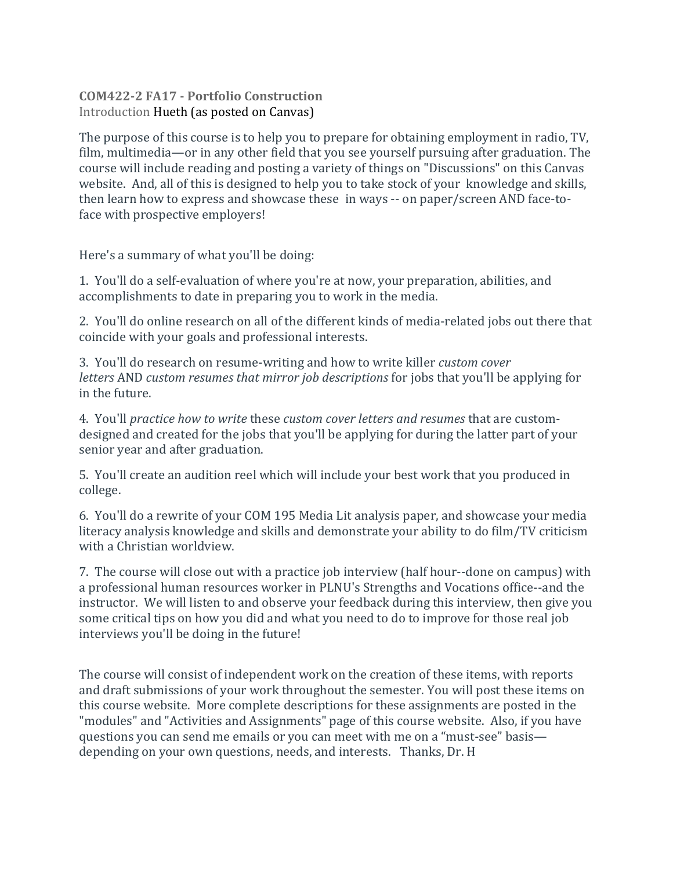## **COM422-2 FA17 - Portfolio Construction** Introduction Hueth (as posted on Canvas)

The purpose of this course is to help you to prepare for obtaining employment in radio, TV, film, multimedia—or in any other field that you see yourself pursuing after graduation. The course will include reading and posting a variety of things on "Discussions" on this Canvas website. And, all of this is designed to help you to take stock of your knowledge and skills, then learn how to express and showcase these in ways -- on paper/screen AND face-toface with prospective employers!

Here's a summary of what you'll be doing:

1. You'll do a self-evaluation of where you're at now, your preparation, abilities, and accomplishments to date in preparing you to work in the media.

2. You'll do online research on all of the different kinds of media-related jobs out there that coincide with your goals and professional interests.

3. You'll do research on resume-writing and how to write killer *custom cover letters* AND *custom resumes that mirror job descriptions* for jobs that you'll be applying for in the future.

4. You'll *practice how to write* these *custom cover letters and resumes* that are customdesigned and created for the jobs that you'll be applying for during the latter part of your senior year and after graduation.

5. You'll create an audition reel which will include your best work that you produced in college.

6. You'll do a rewrite of your COM 195 Media Lit analysis paper, and showcase your media literacy analysis knowledge and skills and demonstrate your ability to do film/TV criticism with a Christian worldview.

7. The course will close out with a practice job interview (half hour--done on campus) with a professional human resources worker in PLNU's Strengths and Vocations office--and the instructor. We will listen to and observe your feedback during this interview, then give you some critical tips on how you did and what you need to do to improve for those real job interviews you'll be doing in the future!

The course will consist of independent work on the creation of these items, with reports and draft submissions of your work throughout the semester. You will post these items on this course website. More complete descriptions for these assignments are posted in the "modules" and "Activities and Assignments" page of this course website. Also, if you have questions you can send me emails or you can meet with me on a "must-see" basis depending on your own questions, needs, and interests. Thanks, Dr. H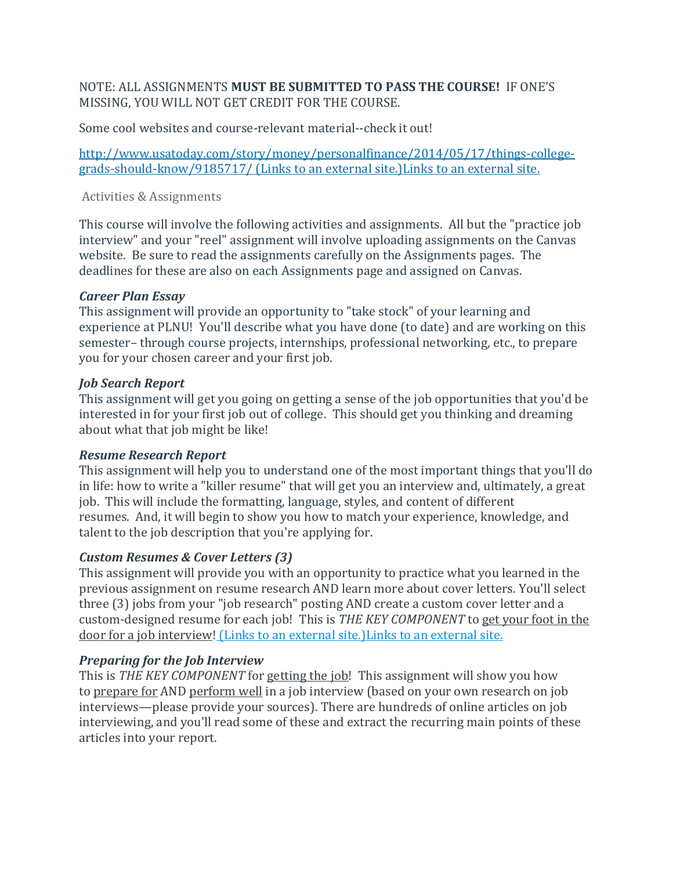NOTE: ALL ASSIGNMENTS **MUST BE SUBMITTED TO PASS THE COURSE!** IF ONE'S MISSING, YOU WILL NOT GET CREDIT FOR THE COURSE.

Some cool websites and course-relevant material--check it out!

[http://www.usatoday.com/story/money/personalfinance/2014/05/17/things-college](http://www.usatoday.com/story/money/personalfinance/2014/05/17/things-college-grads-should-know/9185717/)[grads-should-know/9185717/](http://www.usatoday.com/story/money/personalfinance/2014/05/17/things-college-grads-should-know/9185717/) (Links to an external site.)Links to an external site.

#### Activities & Assignments

This course will involve the following activities and assignments. All but the "practice job interview" and your "reel" assignment will involve uploading assignments on the Canvas website. Be sure to read the assignments carefully on the Assignments pages. The deadlines for these are also on each Assignments page and assigned on Canvas.

### *Career Plan Essay*

This assignment will provide an opportunity to "take stock" of your learning and experience at PLNU! You'll describe what you have done (to date) and are working on this semester– through course projects, internships, professional networking, etc., to prepare you for your chosen career and your first job.

#### *Job Search Report*

This assignment will get you going on getting a sense of the job opportunities that you'd be interested in for your first job out of college. This should get you thinking and dreaming about what that job might be like!

### *Resume Research Report*

This assignment will help you to understand one of the most important things that you'll do in life: how to write a "killer resume" that will get you an interview and, ultimately, a great job. This will include the formatting, language, styles, and content of different resumes. And, it will begin to show you how to match your experience, knowledge, and talent to the job description that you're applying for.

### *Custom Resumes & Cover Letters (3)*

This assignment will provide you with an opportunity to practice what you learned in the previous assignment on resume research AND learn more about cover letters. You'll select three (3) jobs from your "job research" posting AND create a custom cover letter and a custom-designed resume for each job! This is *THE KEY COMPONENT* to get your foot in the door for a job interview! (Links to an external [site.\)Links](http://college.usatoday.com/2015/03/11/how-to-get-your-resume-and-you-noticed-in-the-digital-age/) to an external site.

### *Preparing for the Job Interview*

This is *THE KEY COMPONENT* for getting the job! This assignment will show you how to prepare for AND perform well in a job interview (based on your own research on job interviews—please provide your sources). There are hundreds of online articles on job interviewing, and you'll read some of these and extract the recurring main points of these articles into your report.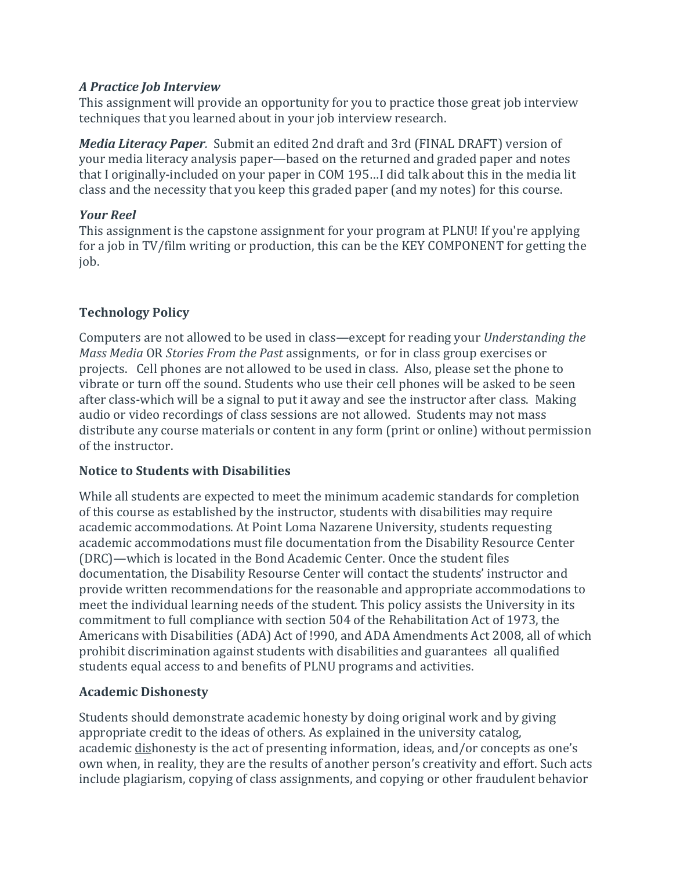### *A Practice Job Interview*

This assignment will provide an opportunity for you to practice those great job interview techniques that you learned about in your job interview research.

*Media Literacy Paper.* Submit an edited 2nd draft and 3rd (FINAL DRAFT) version of your media literacy analysis paper—based on the returned and graded paper and notes that I originally-included on your paper in COM 195…I did talk about this in the media lit class and the necessity that you keep this graded paper (and my notes) for this course.

### *Your Reel*

This assignment is the capstone assignment for your program at PLNU! If you're applying for a job in TV/film writing or production, this can be the KEY COMPONENT for getting the job.

## **Technology Policy**

Computers are not allowed to be used in class—except for reading your *Understanding the Mass Media* OR *Stories From the Past* assignments, or for in class group exercises or projects. Cell phones are not allowed to be used in class. Also, please set the phone to vibrate or turn off the sound. Students who use their cell phones will be asked to be seen after class-which will be a signal to put it away and see the instructor after class. Making audio or video recordings of class sessions are not allowed. Students may not mass distribute any course materials or content in any form (print or online) without permission of the instructor.

## **Notice to Students with Disabilities**

While all students are expected to meet the minimum academic standards for completion of this course as established by the instructor, students with disabilities may require academic accommodations. At Point Loma Nazarene University, students requesting academic accommodations must file documentation from the Disability Resource Center (DRC)—which is located in the Bond Academic Center. Once the student files documentation, the Disability Resourse Center will contact the students' instructor and provide written recommendations for the reasonable and appropriate accommodations to meet the individual learning needs of the student. This policy assists the University in its commitment to full compliance with section 504 of the Rehabilitation Act of 1973, the Americans with Disabilities (ADA) Act of !990, and ADA Amendments Act 2008, all of which prohibit discrimination against students with disabilities and guarantees all qualified students equal access to and benefits of PLNU programs and activities.

## **Academic Dishonesty**

Students should demonstrate academic honesty by doing original work and by giving appropriate credit to the ideas of others. As explained in the university catalog, academic dishonesty is the act of presenting information, ideas, and/or concepts as one's own when, in reality, they are the results of another person's creativity and effort. Such acts include plagiarism, copying of class assignments, and copying or other fraudulent behavior